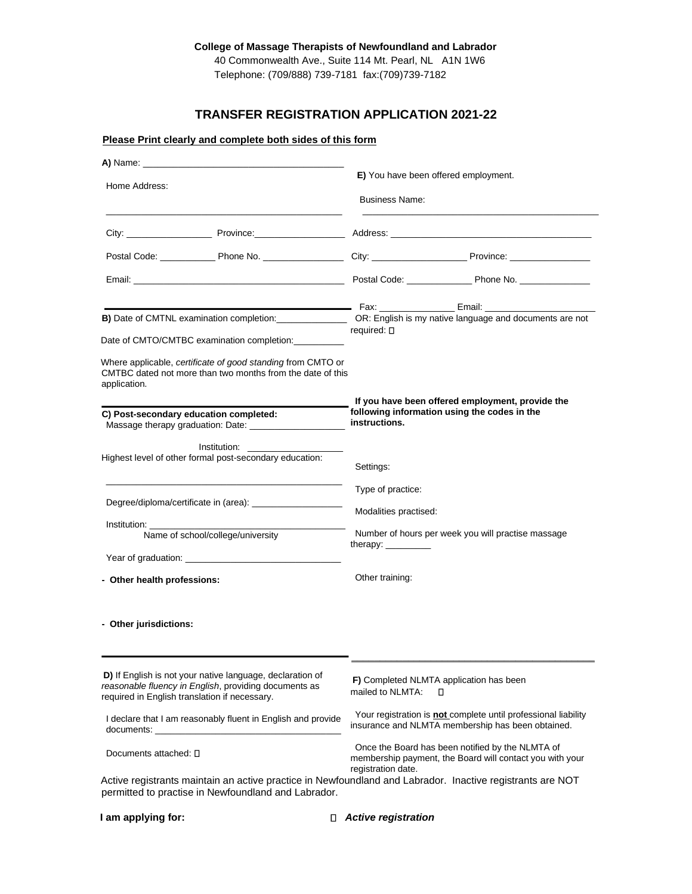## **College of Massage Therapists of Newfoundland and Labrador**

40 Commonwealth Ave., Suite 114 Mt. Pearl, NL A1N 1W6 Telephone: (709/888) 739-7181 fax:(709)739-7182

# **TRANSFER REGISTRATION APPLICATION 2021-22**

## **Please Print clearly and complete both sides of this form**

| A) Name:                                                                                                                                                            |                                                                                                                                    |  |  |  |  |
|---------------------------------------------------------------------------------------------------------------------------------------------------------------------|------------------------------------------------------------------------------------------------------------------------------------|--|--|--|--|
| Home Address:                                                                                                                                                       | E) You have been offered employment.                                                                                               |  |  |  |  |
|                                                                                                                                                                     | <b>Business Name:</b>                                                                                                              |  |  |  |  |
|                                                                                                                                                                     |                                                                                                                                    |  |  |  |  |
|                                                                                                                                                                     |                                                                                                                                    |  |  |  |  |
|                                                                                                                                                                     |                                                                                                                                    |  |  |  |  |
|                                                                                                                                                                     |                                                                                                                                    |  |  |  |  |
|                                                                                                                                                                     | B) Date of CMTNL examination completion:<br>CR: English is my native language and documents are not<br>required: $\square$         |  |  |  |  |
| Date of CMTO/CMTBC examination completion:                                                                                                                          |                                                                                                                                    |  |  |  |  |
| Where applicable, certificate of good standing from CMTO or<br>CMTBC dated not more than two months from the date of this<br>application.                           |                                                                                                                                    |  |  |  |  |
|                                                                                                                                                                     | If you have been offered employment, provide the                                                                                   |  |  |  |  |
| C) Post-secondary education completed:<br>Massage therapy graduation: Date:                                                                                         | following information using the codes in the<br>instructions.                                                                      |  |  |  |  |
| Institution:                                                                                                                                                        |                                                                                                                                    |  |  |  |  |
| Highest level of other formal post-secondary education:                                                                                                             | Settings:                                                                                                                          |  |  |  |  |
|                                                                                                                                                                     | Type of practice:                                                                                                                  |  |  |  |  |
|                                                                                                                                                                     | Modalities practised:                                                                                                              |  |  |  |  |
| Institution: www.com<br>Name of school/college/university                                                                                                           | Number of hours per week you will practise massage                                                                                 |  |  |  |  |
|                                                                                                                                                                     | therapy: $\frac{1}{2}$                                                                                                             |  |  |  |  |
|                                                                                                                                                                     |                                                                                                                                    |  |  |  |  |
| - Other health professions:                                                                                                                                         | Other training:                                                                                                                    |  |  |  |  |
| - Other jurisdictions:                                                                                                                                              |                                                                                                                                    |  |  |  |  |
|                                                                                                                                                                     |                                                                                                                                    |  |  |  |  |
| D) If English is not your native language, declaration of<br>reasonable fluency in English, providing documents as<br>required in English translation if necessary. | F) Completed NLMTA application has been<br>mailed to NLMTA:<br>□                                                                   |  |  |  |  |
| I declare that I am reasonably fluent in English and provide                                                                                                        | Your registration is <b>not</b> complete until professional liability<br>insurance and NLMTA membership has been obtained.         |  |  |  |  |
| Documents attached: []                                                                                                                                              | Once the Board has been notified by the NLMTA of<br>membership payment, the Board will contact you with your<br>registration date. |  |  |  |  |
| Active registrants maintain an active practice in Newfoundland and Labrador. Inactive registrants are NOT                                                           |                                                                                                                                    |  |  |  |  |
| permitted to practise in Newfoundland and Labrador.                                                                                                                 |                                                                                                                                    |  |  |  |  |

| I am applying for: | $\Box$ Active registration |
|--------------------|----------------------------|
|--------------------|----------------------------|